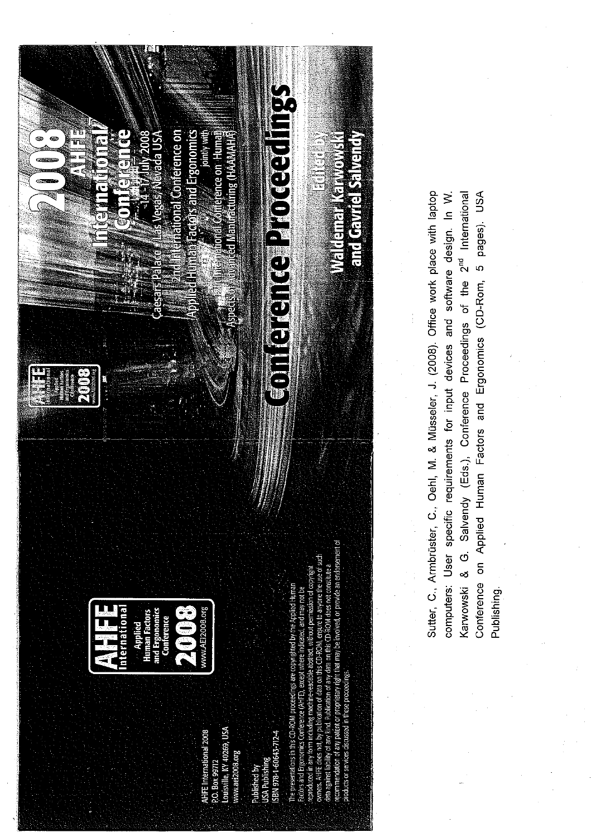

Sutter, C., Armbrüster, C., Oehl, M. & Müsseler, J. (2008). Office work place with laptop Karwowski & G. Salvendy (Eds.), Conference Proceedings of the 2<sup>nd</sup> International Conference on Applied Human Factors and Ergonomics (CD-Rom, 5 pages). USA computers: User specific requirements for input devices and software design. In W. Publishing.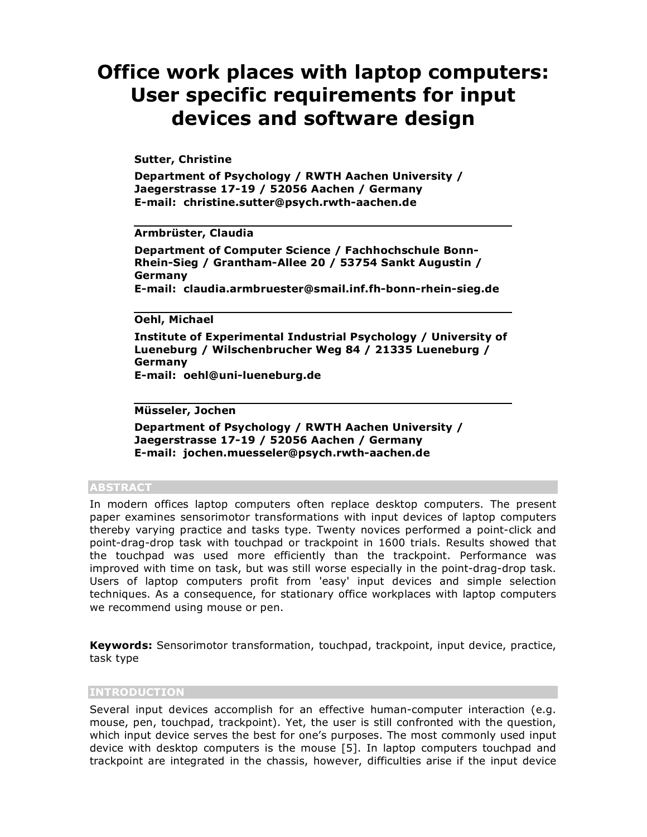# **Office work places with laptop computers: User specific requirements for input devices and software design**

# **Sutter, Christine**

**Department of Psychology / RWTH Aachen University / Jaegerstrasse 17-19 / 52056 Aachen / Germany E-mail: christine.sutter@psych.rwth-aachen.de**

# **Armbrüster, Claudia**

**Department of Computer Science / Fachhochschule Bonn-Rhein-Sieg / Grantham-Allee 20 / 53754 Sankt Augustin / Germany E-mail: claudia.armbruester@smail.inf.fh-bonn-rhein-sieg.de**

# **Oehl, Michael**

**Institute of Experimental Industrial Psychology / University of Lueneburg / Wilschenbrucher Weg 84 / 21335 Lueneburg / Germany E-mail: oehl@uni-lueneburg.de**

#### **Müsseler, Jochen**

**Department of Psychology / RWTH Aachen University / Jaegerstrasse 17-19 / 52056 Aachen / Germany E-mail: jochen.muesseler@psych.rwth-aachen.de**

## **ABSTRACT**

In modern offices laptop computers often replace desktop computers. The present paper examines sensorimotor transformations with input devices of laptop computers thereby varying practice and tasks type. Twenty novices performed a point-click and point-drag-drop task with touchpad or trackpoint in 1600 trials. Results showed that the touchpad was used more efficiently than the trackpoint. Performance was improved with time on task, but was still worse especially in the point-drag-drop task. Users of laptop computers profit from 'easy' input devices and simple selection techniques. As a consequence, for stationary office workplaces with laptop computers we recommend using mouse or pen.

**Keywords:** Sensorimotor transformation, touchpad, trackpoint, input device, practice, task type

# **INTRODUCTION**

Several input devices accomplish for an effective human-computer interaction (e.g. mouse, pen, touchpad, trackpoint). Yet, the user is still confronted with the question, which input device serves the best for one's purposes. The most commonly used input device with desktop computers is the mouse [5]. In laptop computers touchpad and trackpoint are integrated in the chassis, however, difficulties arise if the input device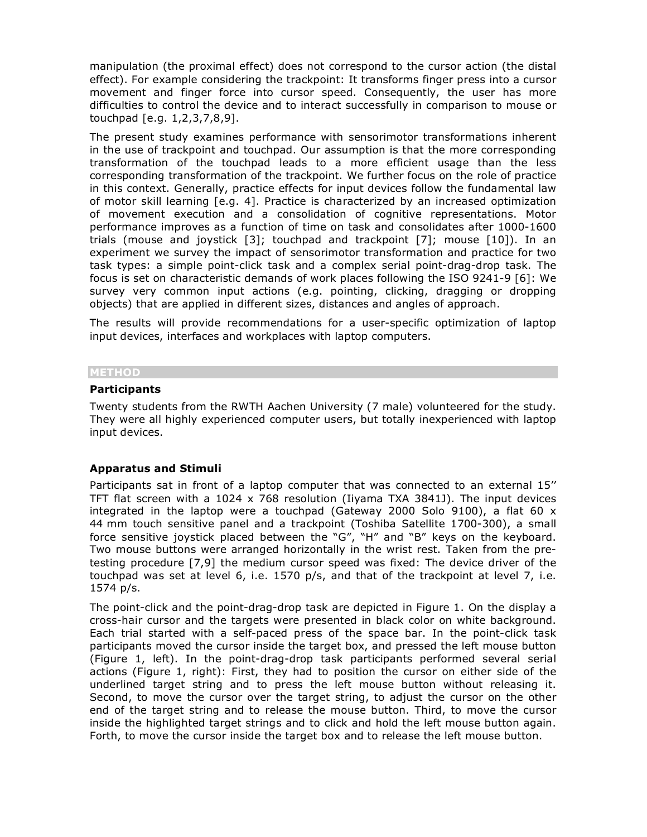manipulation (the proximal effect) does not correspond to the cursor action (the distal effect). For example considering the trackpoint: It transforms finger press into a cursor movement and finger force into cursor speed. Consequently, the user has more difficulties to control the device and to interact successfully in comparison to mouse or touchpad [e.g. 1,2,3,7,8,9].

The present study examines performance with sensorimotor transformations inherent in the use of trackpoint and touchpad. Our assumption is that the more corresponding transformation of the touchpad leads to a more efficient usage than the less corresponding transformation of the trackpoint. We further focus on the role of practice in this context. Generally, practice effects for input devices follow the fundamental law of motor skill learning [e.g. 4]. Practice is characterized by an increased optimization of movement execution and a consolidation of cognitive representations. Motor performance improves as a function of time on task and consolidates after 1000-1600 trials (mouse and joystick [3]; touchpad and trackpoint [7]; mouse [10]). In an experiment we survey the impact of sensorimotor transformation and practice for two task types: a simple point-click task and a complex serial point-drag-drop task. The focus is set on characteristic demands of work places following the ISO 9241-9 [6]: We survey very common input actions (e.g. pointing, clicking, dragging or dropping objects) that are applied in different sizes, distances and angles of approach.

The results will provide recommendations for a user-specific optimization of laptop input devices, interfaces and workplaces with laptop computers.

#### **METHOD**

#### **Participants**

Twenty students from the RWTH Aachen University (7 male) volunteered for the study. They were all highly experienced computer users, but totally inexperienced with laptop input devices.

## **Apparatus and Stimuli**

Participants sat in front of a laptop computer that was connected to an external 15'' TFT flat screen with a 1024  $\times$  768 resolution (Iiyama TXA 3841J). The input devices integrated in the laptop were a touchpad (Gateway 2000 Solo 9100), a flat 60 x 44 mm touch sensitive panel and a trackpoint (Toshiba Satellite 1700-300), a small force sensitive joystick placed between the "G", "H" and "B" keys on the keyboard. Two mouse buttons were arranged horizontally in the wrist rest. Taken from the pretesting procedure [7,9] the medium cursor speed was fixed: The device driver of the touchpad was set at level 6, i.e. 1570 p/s, and that of the trackpoint at level 7, i.e. 1574 p/s.

The point-click and the point-drag-drop task are depicted in Figure 1. On the display a cross-hair cursor and the targets were presented in black color on white background. Each trial started with a self-paced press of the space bar. In the point-click task participants moved the cursor inside the target box, and pressed the left mouse button (Figure 1, left). In the point-drag-drop task participants performed several serial actions (Figure 1, right): First, they had to position the cursor on either side of the underlined target string and to press the left mouse button without releasing it. Second, to move the cursor over the target string, to adjust the cursor on the other end of the target string and to release the mouse button. Third, to move the cursor inside the highlighted target strings and to click and hold the left mouse button again. Forth, to move the cursor inside the target box and to release the left mouse button.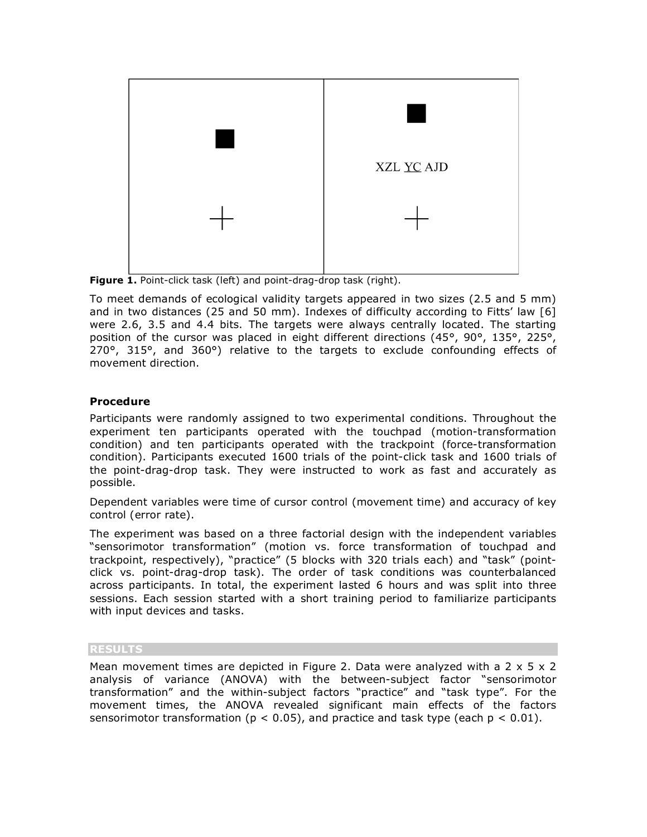

**Figure 1.** Point-click task (left) and point-drag-drop task (right).

To meet demands of ecological validity targets appeared in two sizes (2.5 and 5 mm) and in two distances (25 and 50 mm). Indexes of difficulty according to Fitts' law [6] were 2.6, 3.5 and 4.4 bits. The targets were always centrally located. The starting position of the cursor was placed in eight different directions (45°, 90°, 135°, 225°, 270°, 315°, and 360°) relative to the targets to exclude confounding effects of movement direction.

# **Procedure**

Participants were randomly assigned to two experimental conditions. Throughout the experiment ten participants operated with the touchpad (motion-transformation condition) and ten participants operated with the trackpoint (force-transformation condition). Participants executed 1600 trials of the point-click task and 1600 trials of the point-drag-drop task. They were instructed to work as fast and accurately as possible.

Dependent variables were time of cursor control (movement time) and accuracy of key control (error rate).

The experiment was based on a three factorial design with the independent variables "sensorimotor transformation" (motion vs. force transformation of touchpad and trackpoint, respectively), "practice" (5 blocks with 320 trials each) and "task" (pointclick vs. point-drag-drop task). The order of task conditions was counterbalanced across participants. In total, the experiment lasted 6 hours and was split into three sessions. Each session started with a short training period to familiarize participants with input devices and tasks.

# **RESULTS**

Mean movement times are depicted in Figure 2. Data were analyzed with a 2  $\times$  5  $\times$  2 analysis of variance (ANOVA) with the between-subject factor "sensorimotor transformation" and the within-subject factors "practice" and "task type". For the movement times, the ANOVA revealed significant main effects of the factors sensorimotor transformation ( $p < 0.05$ ), and practice and task type (each  $p < 0.01$ ).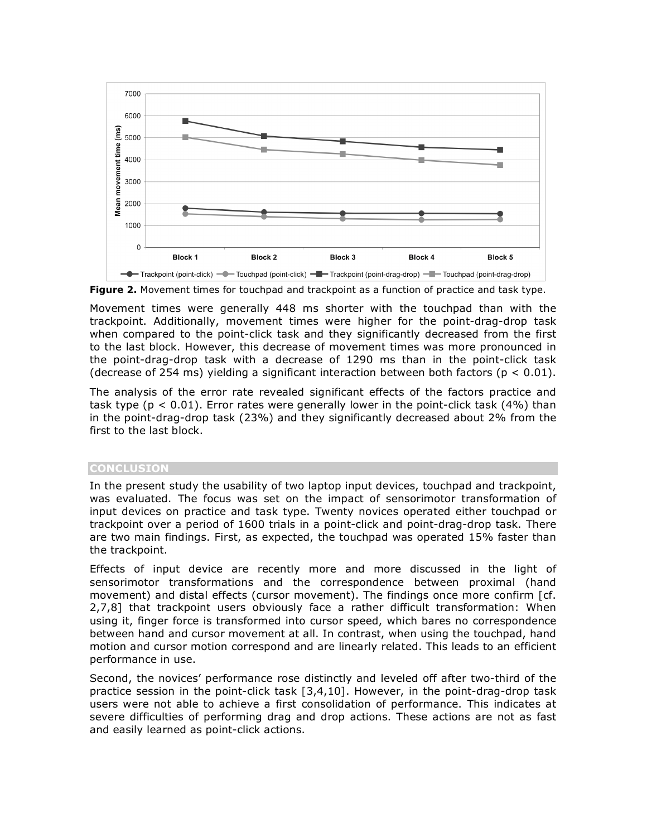

**Figure 2.** Movement times for touchpad and trackpoint as a function of practice and task type.

Movement times were generally 448 ms shorter with the touchpad than with the trackpoint. Additionally, movement times were higher for the point-drag-drop task when compared to the point-click task and they significantly decreased from the first to the last block. However, this decrease of movement times was more pronounced in the point-drag-drop task with a decrease of 1290 ms than in the point-click task (decrease of 254 ms) yielding a significant interaction between both factors ( $p < 0.01$ ).

The analysis of the error rate revealed significant effects of the factors practice and task type ( $p < 0.01$ ). Error rates were generally lower in the point-click task (4%) than in the point-drag-drop task (23%) and they significantly decreased about 2% from the first to the last block.

## **CONCLUSION**

In the present study the usability of two laptop input devices, touchpad and trackpoint, was evaluated. The focus was set on the impact of sensorimotor transformation of input devices on practice and task type. Twenty novices operated either touchpad or trackpoint over a period of 1600 trials in a point-click and point-drag-drop task. There are two main findings. First, as expected, the touchpad was operated 15% faster than the trackpoint.

Effects of input device are recently more and more discussed in the light of sensorimotor transformations and the correspondence between proximal (hand movement) and distal effects (cursor movement). The findings once more confirm [cf. 2,7,8] that trackpoint users obviously face a rather difficult transformation: When using it, finger force is transformed into cursor speed, which bares no correspondence between hand and cursor movement at all. In contrast, when using the touchpad, hand motion and cursor motion correspond and are linearly related. This leads to an efficient performance in use.

Second, the novices' performance rose distinctly and leveled off after two-third of the practice session in the point-click task [3,4,10]. However, in the point-drag-drop task users were not able to achieve a first consolidation of performance. This indicates at severe difficulties of performing drag and drop actions. These actions are not as fast and easily learned as point-click actions.